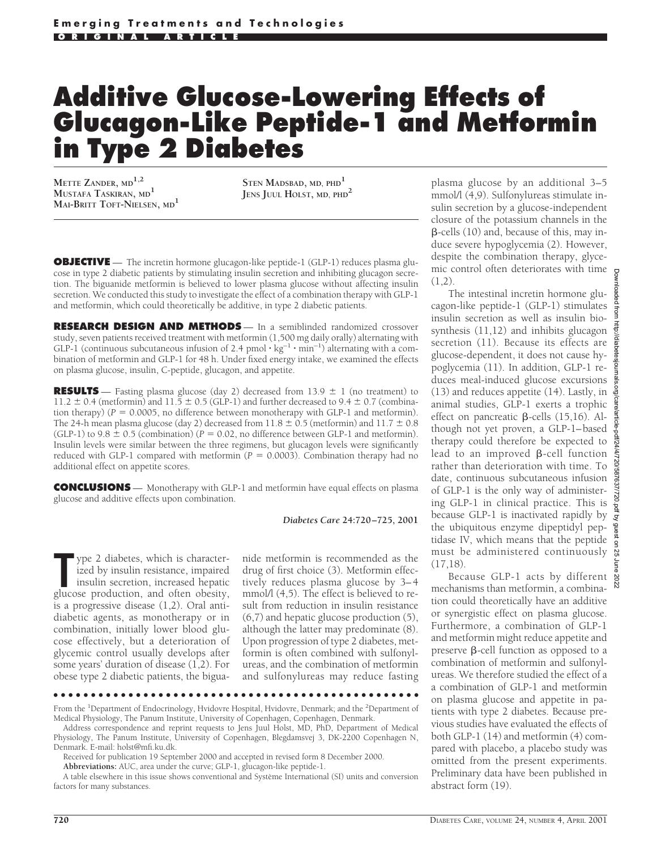# **Additive Glucose-Lowering Effects of Glucagon-Like Peptide-1 and Metformin in Type 2 Diabetes**

**METTE ZANDER, MD1,2 MUSTAFA TASKIRAN, MD1 MAI-BRITT TOFT-NIELSEN, MD1**

**STEN MADSBAD, MD, PHD<sup>1</sup> JENS JUUL HOLST, MD, PHD<sup>2</sup>**

**OBJECTIVE** — The incretin hormone glucagon-like peptide-1 (GLP-1) reduces plasma glucose in type 2 diabetic patients by stimulating insulin secretion and inhibiting glucagon secretion. The biguanide metformin is believed to lower plasma glucose without affecting insulin secretion. We conducted this study to investigate the effect of a combination therapy with GLP-1 and metformin, which could theoretically be additive, in type 2 diabetic patients.

**RESEARCH DESIGN AND METHODS** — In a semiblinded randomized crossover study, seven patients received treatment with metformin (1,500 mg daily orally) alternating with GLP-1 (continuous subcutaneous infusion of 2.4 pmol  $\cdot$  kg<sup>-1</sup>  $\cdot$  min<sup>-1</sup>) alternating with a combination of metformin and GLP-1 for 48 h. Under fixed energy intake, we examined the effects on plasma glucose, insulin, C-peptide, glucagon, and appetite.

**RESULTS** — Fasting plasma glucose (day 2) decreased from  $13.9 \pm 1$  (no treatment) to 11.2  $\pm$  0.4 (metformin) and 11.5  $\pm$  0.5 (GLP-1) and further decreased to 9.4  $\pm$  0.7 (combination therapy) ( $P = 0.0005$ , no difference between monotherapy with GLP-1 and metformin). The 24-h mean plasma glucose (day 2) decreased from  $11.8 \pm 0.5$  (metformin) and  $11.7 \pm 0.8$ (GLP-1) to  $9.8 \pm 0.5$  (combination) ( $P = 0.02$ , no difference between GLP-1 and metformin). Insulin levels were similar between the three regimens, but glucagon levels were significantly reduced with GLP-1 compared with metformin  $(P = 0.0003)$ . Combination therapy had no additional effect on appetite scores.

**CONCLUSIONS** — Monotherapy with GLP-1 and metformin have equal effects on plasma glucose and additive effects upon combination.

*Diabetes Care* **24:720–725, 2001**

The property of the set of the set of the set of the isolation, increased hepatic glucose production, and often obesity, ype 2 diabetes, which is characterized by insulin resistance, impaired insulin secretion, increased hepatic is a progressive disease (1,2). Oral antidiabetic agents, as monotherapy or in combination, initially lower blood glucose effectively, but a deterioration of glycemic control usually develops after some years' duration of disease (1,2). For obese type 2 diabetic patients, the biguanide metformin is recommended as the drug of first choice (3). Metformin effectively reduces plasma glucose by 3–4 mmol/l  $(4,5)$ . The effect is believed to result from reduction in insulin resistance (6,7) and hepatic glucose production (5), although the latter may predominate (8). Upon progression of type 2 diabetes, metformin is often combined with sulfonylureas, and the combination of metformin and sulfonylureas may reduce fasting

●●●●●●●●●●●●●●●●●●●●●●●●●●●●●●●●●●●●●●●●●●●●●●●●●

**Abbreviations:** AUC, area under the curve; GLP-1, glucagon-like peptide-1.

plasma glucose by an additional 3–5 mmol/l (4,9). Sulfonylureas stimulate insulin secretion by a glucose-independent closure of the potassium channels in the  $\beta$ -cells (10) and, because of this, may induce severe hypoglycemia (2). However, despite the combination therapy, glycemic control often deteriorates with time  $(1,2)$ .

The intestinal incretin hormone glucagon-like peptide-1 (GLP-1) stimulates insulin secretion as well as insulin biosynthesis (11,12) and inhibits glucagon secretion (11). Because its effects are glucose-dependent, it does not cause hypoglycemia (11). In addition, GLP-1 reduces meal-induced glucose excursions (13) and reduces appetite (14). Lastly, in animal studies, GLP-1 exerts a trophic effect on pancreatic  $\beta$ -cells (15,16). Although not yet proven, a GLP-1–based therapy could therefore be expected to lead to an improved  $\beta$ -cell function rather than deterioration with time. To date, continuous subcutaneous infusion of GLP-1 is the only way of administering GLP-1 in clinical practice. This is because GLP-1 is inactivated rapidly by the ubiquitous enzyme dipeptidyl peptidase IV, which means that the peptide must be administered continuously & (17,18).

Because GLP-1 acts by different mechanisms than metformin, a combination could theoretically have an additive or synergistic effect on plasma glucose. Furthermore, a combination of GLP-1 and metformin might reduce appetite and preserve  $\beta$ -cell function as opposed to a combination of metformin and sulfonylureas. We therefore studied the effect of a a combination of GLP-1 and metformin on plasma glucose and appetite in patients with type 2 diabetes. Because previous studies have evaluated the effects of both GLP-1 (14) and metformin (4) compared with placebo, a placebo study was omitted from the present experiments. Preliminary data have been published in abstract form (19).

From the <sup>1</sup>Department of Endocrinology, Hvidovre Hospital, Hvidovre, Denmark; and the <sup>2</sup>Department of Medical Physiology, The Panum Institute, University of Copenhagen, Copenhagen, Denmark.

Address correspondence and reprint requests to Jens Juul Holst, MD, PhD, Department of Medical Physiology, The Panum Institute, University of Copenhagen, Blegdamsvej 3, DK-2200 Copenhagen N, Denmark. E-mail: holst@mfi.ku.dk.

Received for publication 19 September 2000 and accepted in revised form 8 December 2000.

A table elsewhere in this issue shows conventional and Système International (SI) units and conversion factors for many substances.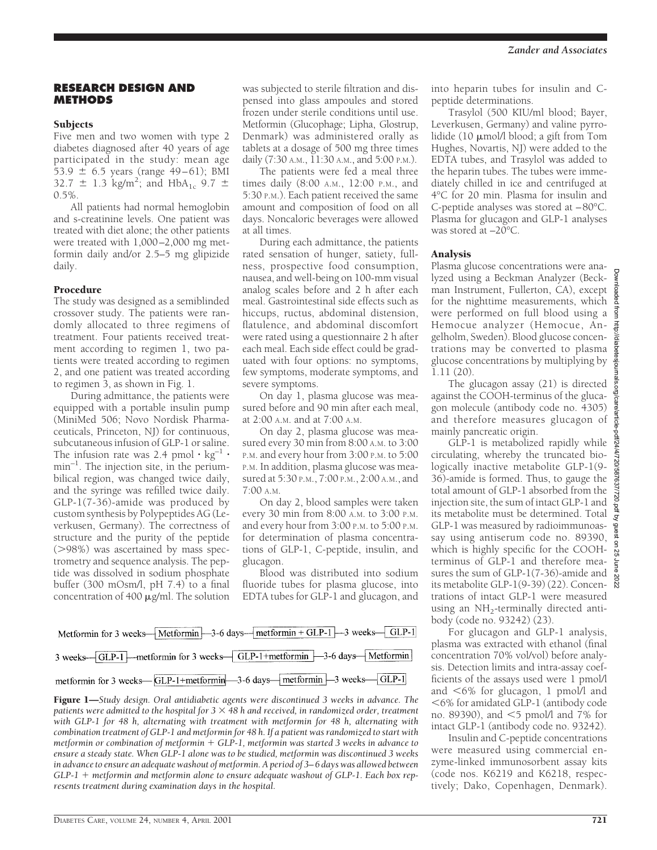## **RESEARCH DESIGN AND METHODS**

# **Subjects**

Five men and two women with type 2 diabetes diagnosed after 40 years of age participated in the study: mean age 53.9  $\pm$  6.5 years (range 49–61); BMI 32.7  $\pm$  1.3 kg/m<sup>2</sup>; and HbA<sub>1c</sub> 9.7  $\pm$ 0.5%.

All patients had normal hemoglobin and s-creatinine levels. One patient was treated with diet alone; the other patients were treated with 1,000–2,000 mg metformin daily and/or 2.5–5 mg glipizide daily.

# Procedure

The study was designed as a semiblinded crossover study. The patients were randomly allocated to three regimens of treatment. Four patients received treatment according to regimen 1, two patients were treated according to regimen 2, and one patient was treated according to regimen 3, as shown in Fig. 1.

During admittance, the patients were equipped with a portable insulin pump (MiniMed 506; Novo Nordisk Pharmaceuticals, Princeton, NJ) for continuous, subcutaneous infusion of GLP-1 or saline. The infusion rate was 2.4 pmol  $\cdot$  kg<sup>-1</sup>  $\cdot$  $min^{-1}$ . The injection site, in the periumbilical region, was changed twice daily, and the syringe was refilled twice daily. GLP-1(7-36)-amide was produced by custom synthesis by Polypeptides AG (Leverkusen, Germany). The correctness of structure and the purity of the peptide  $($ >98%) was ascertained by mass spectrometry and sequence analysis. The peptide was dissolved in sodium phosphate buffer (300 mOsm/l, pH 7.4) to a final concentration of  $400 \mu g/ml$ . The solution

was subjected to sterile filtration and dispensed into glass ampoules and stored frozen under sterile conditions until use. Metformin (Glucophage; Lipha, Glostrup, Denmark) was administered orally as tablets at a dosage of 500 mg three times daily (7:30 A.M., 11:30 A.M., and 5:00 P.M.).

The patients were fed a meal three times daily (8:00 A.M., 12:00 P.M., and 5:30 P.M.). Each patient received the same amount and composition of food on all days. Noncaloric beverages were allowed at all times.

During each admittance, the patients rated sensation of hunger, satiety, fullness, prospective food consumption, nausea, and well-being on 100-mm visual analog scales before and 2 h after each meal. Gastrointestinal side effects such as hiccups, ructus, abdominal distension, flatulence, and abdominal discomfort were rated using a questionnaire 2 h after each meal. Each side effect could be graduated with four options: no symptoms, few symptoms, moderate symptoms, and severe symptoms.

On day 1, plasma glucose was measured before and 90 min after each meal, at 2:00 A.M. and at 7:00 A.M.

On day 2, plasma glucose was measured every 30 min from 8:00 A.M. to 3:00 P.M. and every hour from 3:00 P.M. to 5:00 P.M. In addition, plasma glucose was measured at 5:30 P.M., 7:00 P.M., 2:00 A.M., and 7:00 A.M.

On day 2, blood samples were taken every 30 min from 8:00 A.M. to 3:00 P.M. and every hour from 3:00 P.M. to 5:00 P.M. for determination of plasma concentrations of GLP-1, C-peptide, insulin, and glucagon.

Blood was distributed into sodium fluoride tubes for plasma glucose, into EDTA tubes for GLP-1 and glucagon, and

| Metformin for 3 weeks-Metformin-3-6 days--- metformin + GLP-1 -- 3 weeks-GLP-1                            |
|-----------------------------------------------------------------------------------------------------------|
| 3 weeks-GLP-1-metformin for 3 weeks-GLP-1+metformin-3-6 days-Metformin                                    |
| metformin for 3 weeks— $\boxed{GLP-1+metformin}$ —3-6 days— $\boxed{metformin}$ —3 weeks— $\boxed{GLP-1}$ |

Figure 1—*Study design. Oral antidiabetic agents were discontinued 3 weeks in advance. The patients were admitted to the hospital for*  $3 \times 48$  *h and received, in randomized order, treatment with GLP-1 for 48 h, alternating with treatment with metformin for 48 h, alternating with combination treatment of GLP-1 and metformin for 48 h. If a patient was randomized to start with metformin or combination of metformin* + *GLP-1, metformin was started 3 weeks in advance to ensure a steady state. When GLP-1 alone was to be studied, metformin was discontinued 3 weeks in advance to ensure an adequate washout of metformin. A period of 3–6 days was allowed between* GLP-1 + metformin and metformin alone to ensure adequate washout of GLP-1. Each box rep*resents treatment during examination days in the hospital.*

into heparin tubes for insulin and Cpeptide determinations.

Trasylol (500 KIU/ml blood; Bayer, Leverkusen, Germany) and valine pyrrolidide (10  $\mu$ mol/l blood; a gift from Tom Hughes, Novartis, NJ) were added to the EDTA tubes, and Trasylol was added to the heparin tubes. The tubes were immediately chilled in ice and centrifuged at 4°C for 20 min. Plasma for insulin and C-peptide analyses was stored at –80°C. Plasma for glucagon and GLP-1 analyses was stored at –20°C.

# Analysis

Plasma glucose concentrations were analyzed using a Beckman Analyzer (Beckman Instrument, Fullerton, CA), except for the nighttime measurements, which were performed on full blood using a Hemocue analyzer (Hemocue, Angelholm, Sweden). Blood glucose concentrations may be converted to plasma glucose concentrations by multiplying by 1.11 (20).

The glucagon assay (21) is directed against the COOH-terminus of the glucagon molecule (antibody code no. 4305) and therefore measures glucagon of mainly pancreatic origin.

GLP-1 is metabolized rapidly while circulating, whereby the truncated biologically inactive metabolite GLP-1(9- 36)-amide is formed. Thus, to gauge the total amount of GLP-1 absorbed from the injection site, the sum of intact GLP-1 and its metabolite must be determined. Total GLP-1 was measured by radioimmunoassay using antiserum code no. 89390, which is highly specific for the COOHterminus of GLP-1 and therefore measures the sum of GLP-1(7-36)-amide and its metabolite GLP-1(9-39) (22). Concentrations of intact GLP-1 were measured using an  $NH<sub>2</sub>$ -terminally directed antibody (code no. 93242) (23).

For glucagon and GLP-1 analysis, plasma was extracted with ethanol (final concentration 70% vol/vol) before analysis. Detection limits and intra-assay coefficients of the assays used were 1 pmol/l and  $\leq 6\%$  for glucagon, 1 pmol/l and ,6% for amidated GLP-1 (antibody code no. 89390), and  $\leq$ 5 pmol/l and 7% for intact GLP-1 (antibody code no. 93242).

Insulin and C-peptide concentrations were measured using commercial enzyme-linked immunosorbent assay kits (code nos. K6219 and K6218, respectively; Dako, Copenhagen, Denmark).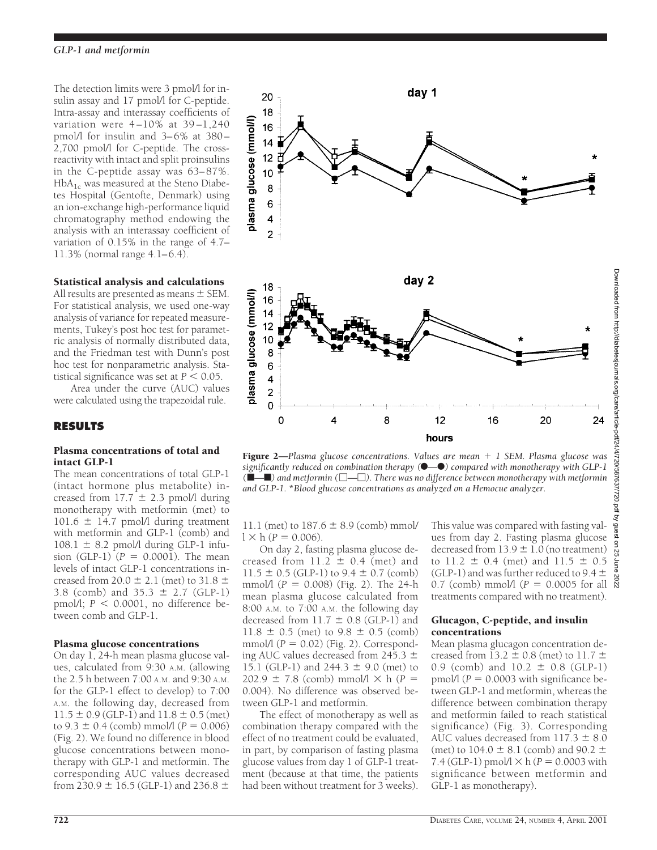The detection limits were 3 pmol/l for insulin assay and 17 pmol/l for C-peptide. Intra-assay and interassay coefficients of variation were  $4-10\%$  at  $39-1,240$ pmol/l for insulin and 3–6% at 380– 2,700 pmol/l for C-peptide. The crossreactivity with intact and split proinsulins in the C-peptide assay was 63–87%.  $HbA_{1c}$  was measured at the Steno Diabetes Hospital (Gentofte, Denmark) using an ion-exchange high-performance liquid chromatography method endowing the analysis with an interassay coefficient of variation of 0.15% in the range of 4.7– 11.3% (normal range 4.1–6.4).

# Statistical analysis and calculations

All results are presented as means  $\pm$  SEM. For statistical analysis, we used one-way analysis of variance for repeated measurements, Tukey's post hoc test for parametric analysis of normally distributed data, and the Friedman test with Dunn's post hoc test for nonparametric analysis. Statistical significance was set at  $P < 0.05$ .

Area under the curve (AUC) values were calculated using the trapezoidal rule.

# **RESULTS**

### Plasma concentrations of total and intact GLP-1

The mean concentrations of total GLP-1 (intact hormone plus metabolite) increased from  $17.7 \pm 2.3$  pmol/l during monotherapy with metformin (met) to  $101.6 \pm 14.7$  pmol/l during treatment with metformin and GLP-1 (comb) and  $108.1 \pm 8.2$  pmol/l during GLP-1 infusion (GLP-1)  $(P = 0.0001)$ . The mean levels of intact GLP-1 concentrations increased from 20.0  $\pm$  2.1 (met) to 31.8  $\pm$ 3.8 (comb) and  $35.3 \pm 2.7$  (GLP-1) pmol/l;  $P \le 0.0001$ , no difference between comb and GLP-1.

## Plasma glucose concentrations

On day 1, 24-h mean plasma glucose values, calculated from 9:30 A.M. (allowing the 2.5 h between 7:00 A.M. and 9:30 A.M. for the GLP-1 effect to develop) to 7:00 A.M. the following day, decreased from  $11.5 \pm 0.9$  (GLP-1) and  $11.8 \pm 0.5$  (met) to  $9.3 \pm 0.4$  (comb) mmol/l ( $P = 0.006$ ) (Fig. 2). We found no difference in blood glucose concentrations between monotherapy with GLP-1 and metformin. The corresponding AUC values decreased from 230.9  $\pm$  16.5 (GLP-1) and 236.8  $\pm$ 



Figure 2—*Plasma glucose concentrations. Values are mean* + 1 *SEM. Plasma glucose was significantly reduced on combination therapy* ( $\bullet$ <sup>*-* $\bullet$ </sup>) compared with monotherapy with GLP-1</sub> *(*f*—*f*) and metformin (*M*—*M*). There was no difference between monotherapy with metformin and GLP-1.* \**Blood glucose concentrations as analyzed on a Hemocue analyzer.*

11.1 (met) to  $187.6 \pm 8.9$  (comb) mmol/  $l \times h (P = 0.006)$ .

On day 2, fasting plasma glucose decreased from  $11.2 \pm 0.4$  (met) and  $11.5 \pm 0.5$  (GLP-1) to  $9.4 \pm 0.7$  (comb) mmol/l (*P* 5 0.008) (Fig. 2). The 24-h mean plasma glucose calculated from 8:00 A.M. to 7:00 A.M. the following day decreased from  $11.7 \pm 0.8$  (GLP-1) and  $11.8 \pm 0.5$  (met) to  $9.8 \pm 0.5$  (comb) mmol/l  $(P = 0.02)$  (Fig. 2). Corresponding AUC values decreased from 245.3  $\pm$ 15.1 (GLP-1) and  $244.3 \pm 9.0$  (met) to  $202.9 \pm 7.8$  (comb) mmol/l  $\times$  h (*P* = 0.004). No difference was observed between GLP-1 and metformin.

The effect of monotherapy as well as combination therapy compared with the effect of no treatment could be evaluated, in part, by comparison of fasting plasma glucose values from day 1 of GLP-1 treatment (because at that time, the patients had been without treatment for 3 weeks).

This value was compared with fasting values from day 2. Fasting plasma glucose decreased from  $13.9 \pm 1.0$  (no treatment) to  $11.2 \pm 0.4$  (met) and  $11.5 \pm 0.5$ (GLP-1) and was further reduced to 9.4  $\pm$ 0.7 (comb) mmol/l  $(P = 0.0005$  for all  $\frac{8}{8}$ treatments compared with no treatment).

## Glucagon, C-peptide, and insulin concentrations

Mean plasma glucagon concentration decreased from 13.2  $\pm$  0.8 (met) to 11.7  $\pm$ 0.9 (comb) and  $10.2 \pm 0.8$  (GLP-1) pmol/l ( $P = 0.0003$  with significance between GLP-1 and metformin, whereas the difference between combination therapy and metformin failed to reach statistical significance) (Fig. 3). Corresponding AUC values decreased from  $117.3 \pm 8.0$ (met) to 104.0  $\pm$  8.1 (comb) and 90.2  $\pm$ 7.4 (GLP-1) pmol $/1 \times h$  ( $P = 0.0003$  with significance between metformin and GLP-1 as monotherapy).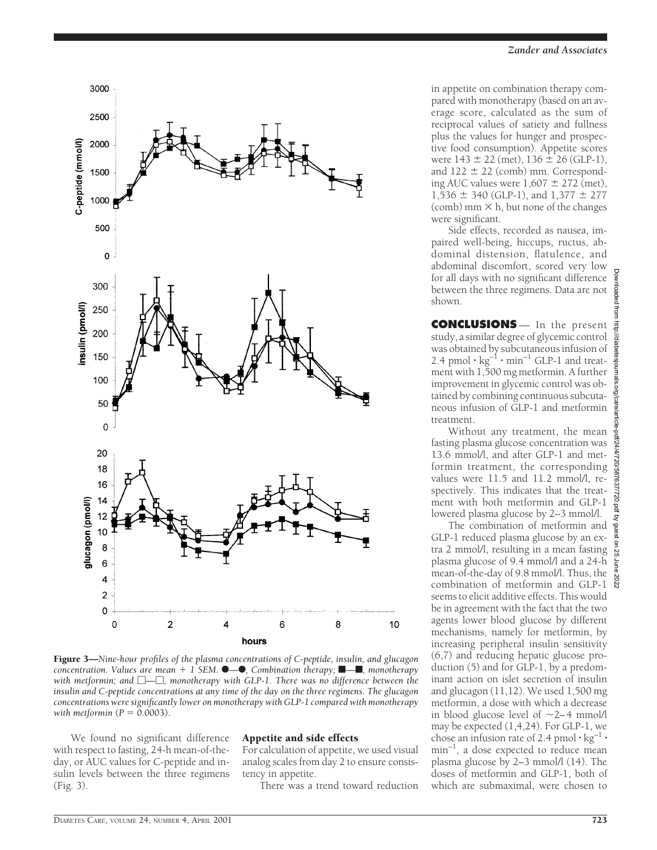

Figure 3—*Nine-hour profiles of the plasma concentrations of C-peptide, insulin, and glucagon concentration. Values are mean* + 1 *SEM.*  $\bullet$  *-* 6, *Combination therapy*;  $\bullet$  *- <i><sub>,</sub> monotherapy with metformin; and*  $\Box$  $\Box$ *, monotherapy with GLP-1. There was no difference between the insulin and C-peptide concentrations at any time of the day on the three regimens. The glucagon concentrations were significantly lower on monotherapy with GLP-1 compared with monotherapy with metformin*  $(P = 0.0003)$ .

We found no significant difference with respect to fasting, 24-h mean-of-theday, or AUC values for C-peptide and insulin levels between the three regimens (Fig. 3).

#### Appetite and side effects

For calculation of appetite, we used visual analog scales from day 2 to ensure consistency in appetite.

There was a trend toward reduction

in appetite on combination therapy compared with monotherapy (based on an average score, calculated as the sum of reciprocal values of satiety and fullness plus the values for hunger and prospective food consumption). Appetite scores were  $143 \pm 22$  (met),  $136 \pm 26$  (GLP-1), and  $122 \pm 22$  (comb) mm. Corresponding AUC values were  $1,607 \pm 272$  (met),  $1,536 \pm 340$  (GLP-1), and  $1,377 \pm 277$ (comb) mm  $\times$  h, but none of the changes were significant.

Side effects, recorded as nausea, impaired well-being, hiccups, ructus, abdominal distension, flatulence, and abdominal discomfort, scored very low for all days with no significant difference between the three regimens. Data are not shown.

**CONCLUSIONS** — In the present study, a similar degree of glycemic control was obtained by subcutaneous infusion of 2.4 pmol  $\cdot$  kg<sup>-1</sup>  $\cdot$  min<sup>-1</sup> GLP-1 and treatment with 1,500 mg metformin. A further improvement in glycemic control was obtained by combining continuous subcutaneous infusion of GLP-1 and metformin treatment.

Without any treatment, the mean fasting plasma glucose concentration was 13.6 mmol/l, and after GLP-1 and metformin treatment, the corresponding values were 11.5 and 11.2 mmol/l, respectively. This indicates that the treatment with both metformin and GLP-1 lowered plasma glucose by 2–3 mmol/l.

The combination of metformin and GLP-1 reduced plasma glucose by an extra 2 mmol/l, resulting in a mean fasting plasma glucose of 9.4 mmol/l and a 24-h mean-of-the-day of 9.8 mmol/l. Thus, the combination of metformin and GLP-1 seems to elicit additive effects. This would be in agreement with the fact that the two agents lower blood glucose by different mechanisms, namely for metformin, by increasing peripheral insulin sensitivity (6,7) and reducing hepatic glucose production (5) and for GLP-1, by a predominant action on islet secretion of insulin and glucagon (11,12). We used 1,500 mg metformin, a dose with which a decrease in blood glucose level of  $\sim$ 2–4 mmol/l may be expected (1,4,24). For GLP-1, we chose an infusion rate of 2.4 pmol  $\cdot$  kg<sup>-1</sup>  $\cdot$  $min^{-1}$ , a dose expected to reduce mean plasma glucose by 2–3 mmol/l (14). The doses of metformin and GLP-1, both of which are submaximal, were chosen to

Downloaded from http://diabetesjournals.org/care/article-pdf/24/4/720/587637/720.pdf by guest on 25 June 2022

icle-pdf/24/4/720/587637/720.pdf by guest on

 $\overline{55}$ 

Downloaded from http://diabetesjournals.org/care/a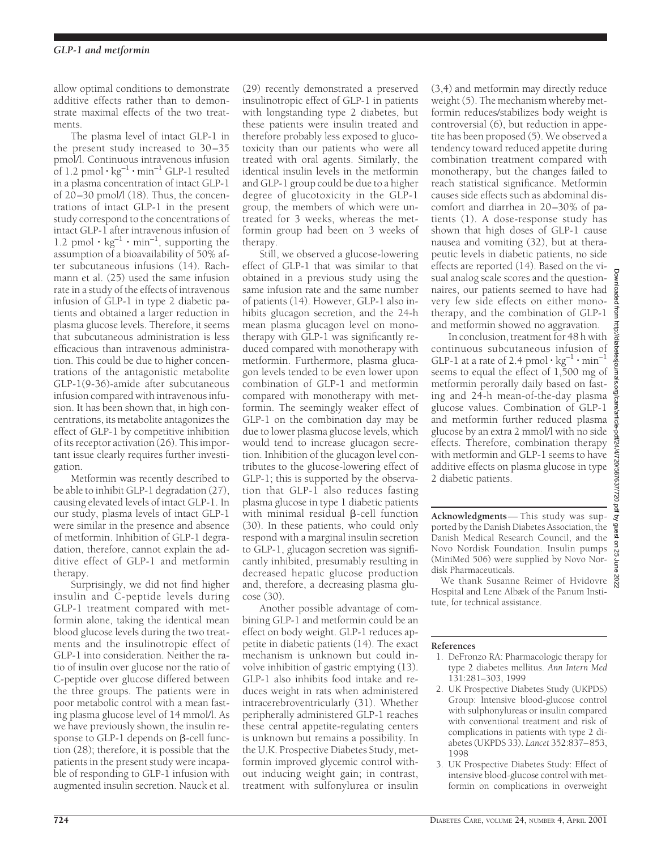allow optimal conditions to demonstrate additive effects rather than to demonstrate maximal effects of the two treatments.

The plasma level of intact GLP-1 in the present study increased to 30–35 pmol/l. Continuous intravenous infusion of 1.2 pmol  $\cdot$  kg<sup>-1</sup>  $\cdot$  min<sup>-1</sup> GLP-1 resulted in a plasma concentration of intact GLP-1 of 20–30 pmol/l (18). Thus, the concentrations of intact GLP-1 in the present study correspond to the concentrations of intact GLP-1 after intravenous infusion of 1.2 pmol  $\cdot$  kg<sup>-1</sup>  $\cdot$  min<sup>-1</sup>, supporting the assumption of a bioavailability of 50% after subcutaneous infusions (14). Rachmann et al. (25) used the same infusion rate in a study of the effects of intravenous infusion of GLP-1 in type 2 diabetic patients and obtained a larger reduction in plasma glucose levels. Therefore, it seems that subcutaneous administration is less efficacious than intravenous administration. This could be due to higher concentrations of the antagonistic metabolite GLP-1(9-36)-amide after subcutaneous infusion compared with intravenous infusion. It has been shown that, in high concentrations, its metabolite antagonizes the effect of GLP-1 by competitive inhibition of its receptor activation (26). This important issue clearly requires further investigation.

Metformin was recently described to be able to inhibit GLP-1 degradation (27), causing elevated levels of intact GLP-1. In our study, plasma levels of intact GLP-1 were similar in the presence and absence of metformin. Inhibition of GLP-1 degradation, therefore, cannot explain the additive effect of GLP-1 and metformin therapy.

Surprisingly, we did not find higher insulin and C-peptide levels during GLP-1 treatment compared with metformin alone, taking the identical mean blood glucose levels during the two treatments and the insulinotropic effect of GLP-1 into consideration. Neither the ratio of insulin over glucose nor the ratio of C-peptide over glucose differed between the three groups. The patients were in poor metabolic control with a mean fasting plasma glucose level of 14 mmol/l. As we have previously shown, the insulin response to GLP-1 depends on  $\beta$ -cell function (28); therefore, it is possible that the patients in the present study were incapable of responding to GLP-1 infusion with augmented insulin secretion. Nauck et al.

(29) recently demonstrated a preserved insulinotropic effect of GLP-1 in patients with longstanding type 2 diabetes, but these patients were insulin treated and therefore probably less exposed to glucotoxicity than our patients who were all treated with oral agents. Similarly, the identical insulin levels in the metformin and GLP-1 group could be due to a higher degree of glucotoxicity in the GLP-1 group, the members of which were untreated for 3 weeks, whereas the metformin group had been on 3 weeks of therapy.

Still, we observed a glucose-lowering effect of GLP-1 that was similar to that obtained in a previous study using the same infusion rate and the same number of patients (14). However, GLP-1 also inhibits glucagon secretion, and the 24-h mean plasma glucagon level on monotherapy with GLP-1 was significantly reduced compared with monotherapy with metformin. Furthermore, plasma glucagon levels tended to be even lower upon combination of GLP-1 and metformin compared with monotherapy with metformin. The seemingly weaker effect of GLP-1 on the combination day may be due to lower plasma glucose levels, which would tend to increase glucagon secretion. Inhibition of the glucagon level contributes to the glucose-lowering effect of GLP-1; this is supported by the observation that GLP-1 also reduces fasting plasma glucose in type 1 diabetic patients with minimal residual  $\beta$ -cell function (30). In these patients, who could only respond with a marginal insulin secretion to GLP-1, glucagon secretion was significantly inhibited, presumably resulting in decreased hepatic glucose production and, therefore, a decreasing plasma glucose (30).

Another possible advantage of combining GLP-1 and metformin could be an effect on body weight. GLP-1 reduces appetite in diabetic patients (14). The exact mechanism is unknown but could involve inhibition of gastric emptying (13). GLP-1 also inhibits food intake and reduces weight in rats when administered intracerebroventricularly (31). Whether peripherally administered GLP-1 reaches these central appetite-regulating centers is unknown but remains a possibility. In the U.K. Prospective Diabetes Study, metformin improved glycemic control without inducing weight gain; in contrast, treatment with sulfonylurea or insulin (3,4) and metformin may directly reduce weight (5). The mechanism whereby metformin reduces/stabilizes body weight is controversial (6), but reduction in appetite has been proposed (5). We observed a tendency toward reduced appetite during combination treatment compared with monotherapy, but the changes failed to reach statistical significance. Metformin causes side effects such as abdominal discomfort and diarrhea in 20–30% of patients (1). A dose-response study has shown that high doses of GLP-1 cause nausea and vomiting (32), but at therapeutic levels in diabetic patients, no side effects are reported (14). Based on the visual analog scale scores and the questionnaires, our patients seemed to have had very few side effects on either monotherapy, and the combination of GLP-1 and metformin showed no aggravation.

In conclusion, treatment for 48 h with continuous subcutaneous infusion of GLP-1 at a rate of 2.4 pmol  $\cdot$  kg<sup>-1</sup>  $\cdot$  min<sup>-1</sup> seems to equal the effect of 1,500 mg of metformin perorally daily based on fasting and 24-h mean-of-the-day plasma glucose values. Combination of GLP-1 and metformin further reduced plasma glucose by an extra 2 mmol/l with no side effects. Therefore, combination therapy with metformin and GLP-1 seems to have additive effects on plasma glucose in type 2 diabetic patients.

**Acknowledgments**— This study was supported by the Danish Diabetes Association, the Danish Medical Research Council, and the Novo Nordisk Foundation. Insulin pumps (MiniMed 506) were supplied by Novo Nordisk Pharmaceuticals.

We thank Susanne Reimer of Hvidovre Hospital and Lene Albæk of the Panum Institute, for technical assistance.

#### **References**

- 1. DeFronzo RA: Pharmacologic therapy for type 2 diabetes mellitus. *Ann Intern Med* 131:281–303, 1999
- 2. UK Prospective Diabetes Study (UKPDS) Group: Intensive blood-glucose control with sulphonylureas or insulin compared with conventional treatment and risk of complications in patients with type 2 diabetes (UKPDS 33). *Lancet* 352:837–853, 1998
- 3. UK Prospective Diabetes Study: Effect of intensive blood-glucose control with metformin on complications in overweight